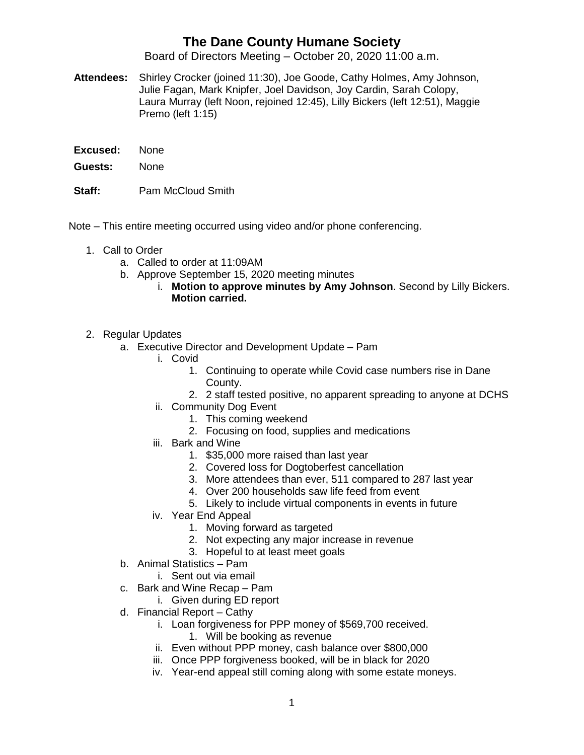## **The Dane County Humane Society**

Board of Directors Meeting – October 20, 2020 11:00 a.m.

- **Attendees:** Shirley Crocker (joined 11:30), Joe Goode, Cathy Holmes, Amy Johnson, Julie Fagan, Mark Knipfer, Joel Davidson, Joy Cardin, Sarah Colopy, Laura Murray (left Noon, rejoined 12:45), Lilly Bickers (left 12:51), Maggie Premo (left 1:15)
- **Excused:** None
- **Guests:** None
- **Staff:** Pam McCloud Smith
- Note This entire meeting occurred using video and/or phone conferencing.
	- 1. Call to Order
		- a. Called to order at 11:09AM
		- b. Approve September 15, 2020 meeting minutes
			- i. **Motion to approve minutes by Amy Johnson**. Second by Lilly Bickers. **Motion carried.**
	- 2. Regular Updates
		- a. Executive Director and Development Update Pam
			- i. Covid
				- 1. Continuing to operate while Covid case numbers rise in Dane County.
				- 2. 2 staff tested positive, no apparent spreading to anyone at DCHS
			- ii. Community Dog Event
				- 1. This coming weekend
				- 2. Focusing on food, supplies and medications
			- iii. Bark and Wine
				- 1. \$35,000 more raised than last year
				- 2. Covered loss for Dogtoberfest cancellation
				- 3. More attendees than ever, 511 compared to 287 last year
				- 4. Over 200 households saw life feed from event
				- 5. Likely to include virtual components in events in future
			- iv. Year End Appeal
				- 1. Moving forward as targeted
				- 2. Not expecting any major increase in revenue
				- 3. Hopeful to at least meet goals
		- b. Animal Statistics Pam
			- i. Sent out via email
		- c. Bark and Wine Recap Pam
			- i. Given during ED report
		- d. Financial Report Cathy
			- i. Loan forgiveness for PPP money of \$569,700 received.
				- 1. Will be booking as revenue
			- ii. Even without PPP money, cash balance over \$800,000
			- iii. Once PPP forgiveness booked, will be in black for 2020
			- iv. Year-end appeal still coming along with some estate moneys.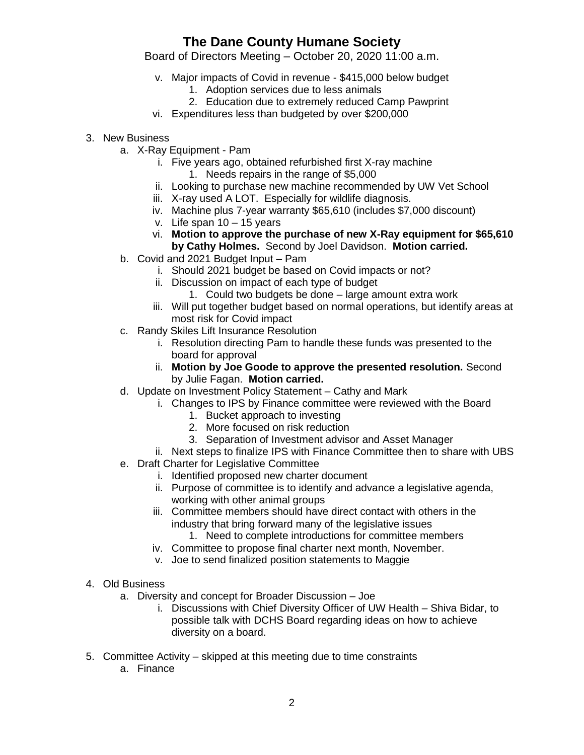## **The Dane County Humane Society**

Board of Directors Meeting – October 20, 2020 11:00 a.m.

- v. Major impacts of Covid in revenue \$415,000 below budget
	- 1. Adoption services due to less animals
	- 2. Education due to extremely reduced Camp Pawprint
- vi. Expenditures less than budgeted by over \$200,000
- 3. New Business
	- a. X-Ray Equipment Pam
		- i. Five years ago, obtained refurbished first X-ray machine
			- 1. Needs repairs in the range of \$5,000
		- ii. Looking to purchase new machine recommended by UW Vet School
		- iii. X-ray used A LOT. Especially for wildlife diagnosis.
		- iv. Machine plus 7-year warranty \$65,610 (includes \$7,000 discount)
		- v. Life span  $10 15$  years
		- vi. **Motion to approve the purchase of new X-Ray equipment for \$65,610 by Cathy Holmes.** Second by Joel Davidson. **Motion carried.**
	- b. Covid and 2021 Budget Input Pam
		- i. Should 2021 budget be based on Covid impacts or not?
		- ii. Discussion on impact of each type of budget
			- 1. Could two budgets be done large amount extra work
		- iii. Will put together budget based on normal operations, but identify areas at most risk for Covid impact
	- c. Randy Skiles Lift Insurance Resolution
		- i. Resolution directing Pam to handle these funds was presented to the board for approval
		- ii. **Motion by Joe Goode to approve the presented resolution.** Second by Julie Fagan. **Motion carried.**
	- d. Update on Investment Policy Statement Cathy and Mark
		- i. Changes to IPS by Finance committee were reviewed with the Board
			- 1. Bucket approach to investing
			- 2. More focused on risk reduction
			- 3. Separation of Investment advisor and Asset Manager

ii. Next steps to finalize IPS with Finance Committee then to share with UBS

- e. Draft Charter for Legislative Committee
	- i. Identified proposed new charter document
	- ii. Purpose of committee is to identify and advance a legislative agenda, working with other animal groups
	- iii. Committee members should have direct contact with others in the industry that bring forward many of the legislative issues
		- 1. Need to complete introductions for committee members
	- iv. Committee to propose final charter next month, November.
	- v. Joe to send finalized position statements to Maggie

## 4. Old Business

- a. Diversity and concept for Broader Discussion Joe
	- i. Discussions with Chief Diversity Officer of UW Health Shiva Bidar, to possible talk with DCHS Board regarding ideas on how to achieve diversity on a board.
- 5. Committee Activity skipped at this meeting due to time constraints
	- a. Finance